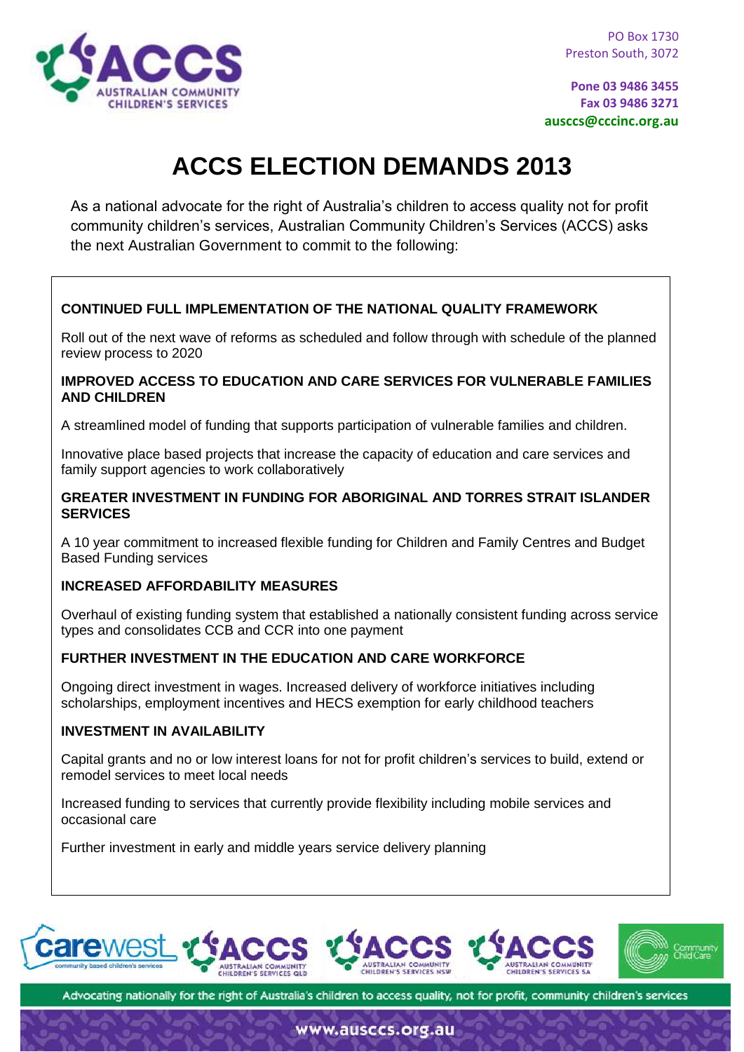

**Pone 03 9486 3455 Fax 03 9486 3271 ausccs@cccinc.org.au**

# **ACCS ELECTION DEMANDS 2013**

As a national advocate for the right of Australia's children to access quality not for profit community children's services, Australian Community Children's Services (ACCS) asks the next Australian Government to commit to the following:

### **CONTINUED FULL IMPLEMENTATION OF THE NATIONAL QUALITY FRAMEWORK**

Roll out of the next wave of reforms as scheduled and follow through with schedule of the planned review process to 2020

#### **IMPROVED ACCESS TO EDUCATION AND CARE SERVICES FOR VULNERABLE FAMILIES AND CHILDREN**

A streamlined model of funding that supports participation of vulnerable families and children.

Innovative place based projects that increase the capacity of education and care services and family support agencies to work collaboratively

#### **GREATER INVESTMENT IN FUNDING FOR ABORIGINAL AND TORRES STRAIT ISLANDER SERVICES**

A 10 year commitment to increased flexible funding for Children and Family Centres and Budget Based Funding services

### **INCREASED AFFORDABILITY MEASURES**

Overhaul of existing funding system that established a nationally consistent funding across service types and consolidates CCB and CCR into one payment

### **FURTHER INVESTMENT IN THE EDUCATION AND CARE WORKFORCE**

Ongoing direct investment in wages. Increased delivery of workforce initiatives including scholarships, employment incentives and HECS exemption for early childhood teachers

#### **INVESTMENT IN AVAILABILITY**

Capital grants and no or low interest loans for not for profit children's services to build, extend or remodel services to meet local needs

Increased funding to services that currently provide flexibility including mobile services and occasional care

Further investment in early and middle years service delivery planning



Advocating nationally for the right of Australia's children to access quality, not for profit, community children's services

www.ausccs.org.au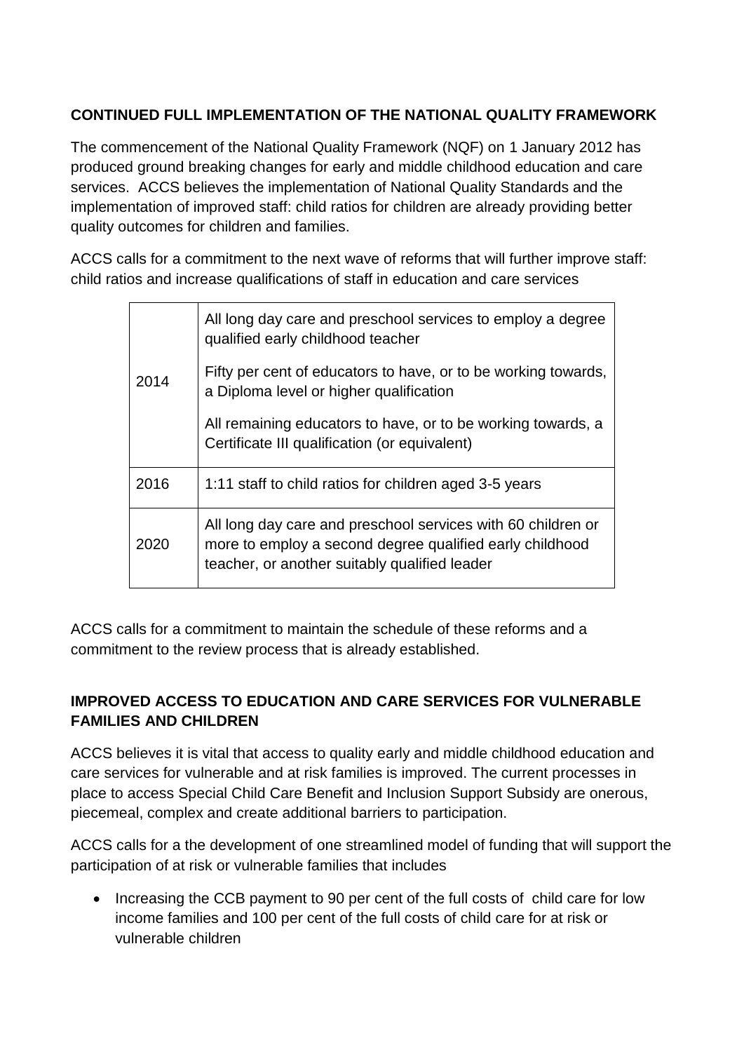# **CONTINUED FULL IMPLEMENTATION OF THE NATIONAL QUALITY FRAMEWORK**

The commencement of the National Quality Framework (NQF) on 1 January 2012 has produced ground breaking changes for early and middle childhood education and care services. ACCS believes the implementation of National Quality Standards and the implementation of improved staff: child ratios for children are already providing better quality outcomes for children and families.

ACCS calls for a commitment to the next wave of reforms that will further improve staff: child ratios and increase qualifications of staff in education and care services

| 2014 | All long day care and preschool services to employ a degree<br>qualified early childhood teacher                                                                          |
|------|---------------------------------------------------------------------------------------------------------------------------------------------------------------------------|
|      | Fifty per cent of educators to have, or to be working towards,<br>a Diploma level or higher qualification                                                                 |
|      | All remaining educators to have, or to be working towards, a<br>Certificate III qualification (or equivalent)                                                             |
| 2016 | 1:11 staff to child ratios for children aged 3-5 years                                                                                                                    |
| 2020 | All long day care and preschool services with 60 children or<br>more to employ a second degree qualified early childhood<br>teacher, or another suitably qualified leader |

ACCS calls for a commitment to maintain the schedule of these reforms and a commitment to the review process that is already established.

# **IMPROVED ACCESS TO EDUCATION AND CARE SERVICES FOR VULNERABLE FAMILIES AND CHILDREN**

ACCS believes it is vital that access to quality early and middle childhood education and care services for vulnerable and at risk families is improved. The current processes in place to access Special Child Care Benefit and Inclusion Support Subsidy are onerous, piecemeal, complex and create additional barriers to participation.

ACCS calls for a the development of one streamlined model of funding that will support the participation of at risk or vulnerable families that includes

• Increasing the CCB payment to 90 per cent of the full costs of child care for low income families and 100 per cent of the full costs of child care for at risk or vulnerable children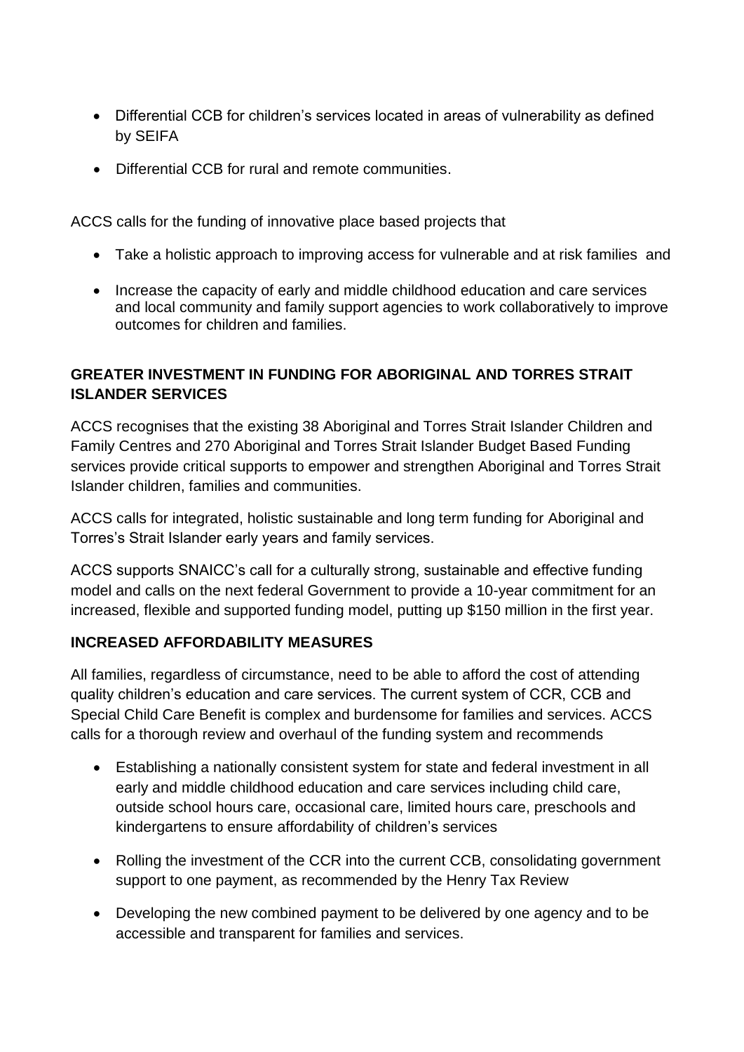- Differential CCB for children's services located in areas of vulnerability as defined by SEIFA
- Differential CCB for rural and remote communities.

ACCS calls for the funding of innovative place based projects that

- Take a holistic approach to improving access for vulnerable and at risk families and
- Increase the capacity of early and middle childhood education and care services and local community and family support agencies to work collaboratively to improve outcomes for children and families.

### **GREATER INVESTMENT IN FUNDING FOR ABORIGINAL AND TORRES STRAIT ISLANDER SERVICES**

ACCS recognises that the existing 38 Aboriginal and Torres Strait Islander Children and Family Centres and 270 Aboriginal and Torres Strait Islander Budget Based Funding services provide critical supports to empower and strengthen Aboriginal and Torres Strait Islander children, families and communities.

ACCS calls for integrated, holistic sustainable and long term funding for Aboriginal and Torres's Strait Islander early years and family services.

ACCS supports SNAICC's call for a culturally strong, sustainable and effective funding model and calls on the next federal Government to provide a 10-year commitment for an increased, flexible and supported funding model, putting up \$150 million in the first year.

### **INCREASED AFFORDABILITY MEASURES**

All families, regardless of circumstance, need to be able to afford the cost of attending quality children's education and care services. The current system of CCR, CCB and Special Child Care Benefit is complex and burdensome for families and services. ACCS calls for a thorough review and overhaul of the funding system and recommends

- Establishing a nationally consistent system for state and federal investment in all early and middle childhood education and care services including child care, outside school hours care, occasional care, limited hours care, preschools and kindergartens to ensure affordability of children's services
- Rolling the investment of the CCR into the current CCB, consolidating government support to one payment, as recommended by the Henry Tax Review
- Developing the new combined payment to be delivered by one agency and to be accessible and transparent for families and services.